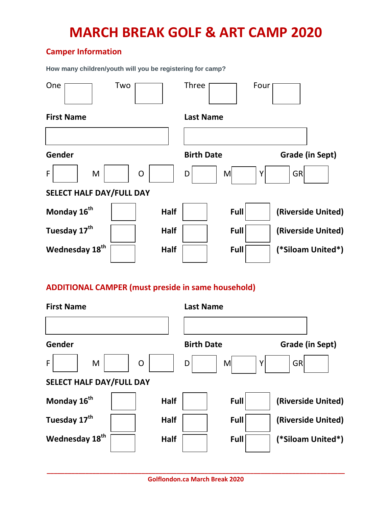# **Camper Information**

**How many children/youth will you be registering for camp?**

| One<br>Two                                                | <b>Three</b><br>Four                        |  |  |  |  |  |  |  |
|-----------------------------------------------------------|---------------------------------------------|--|--|--|--|--|--|--|
| <b>First Name</b>                                         | <b>Last Name</b>                            |  |  |  |  |  |  |  |
|                                                           |                                             |  |  |  |  |  |  |  |
| Gender                                                    | <b>Birth Date</b><br>Grade (in Sept)        |  |  |  |  |  |  |  |
| F<br>M<br>O                                               | <b>GR</b><br>M<br>Y<br>D                    |  |  |  |  |  |  |  |
| <b>SELECT HALF DAY/FULL DAY</b>                           |                                             |  |  |  |  |  |  |  |
| Monday 16 <sup>th</sup><br><b>Half</b>                    | Full<br>(Riverside United)                  |  |  |  |  |  |  |  |
| Tuesday 17 <sup>th</sup><br><b>Half</b>                   | Full<br>(Riverside United)                  |  |  |  |  |  |  |  |
| Wednesday 18 <sup>th</sup><br>Half                        | (*Siloam United*)<br>Full                   |  |  |  |  |  |  |  |
| <b>ADDITIONAL CAMPER (must preside in same household)</b> |                                             |  |  |  |  |  |  |  |
| <b>First Name</b>                                         | <b>Last Name</b>                            |  |  |  |  |  |  |  |
|                                                           |                                             |  |  |  |  |  |  |  |
| Gender                                                    | <b>Birth Date</b><br><b>Grade (in Sept)</b> |  |  |  |  |  |  |  |

**SELECT HALF DAY/FULL DAY**

Monday 16<sup>th</sup>  $\vert$  Half  $\vert$  Full (Riverside United) Tuesday 17<sup>th</sup> **Full Half Full Full (Riverside United)** Wednesday 18<sup>th</sup> **Full Half Full Full (\*Siloam United\*)** 

F | M | O | D | M | Y | GR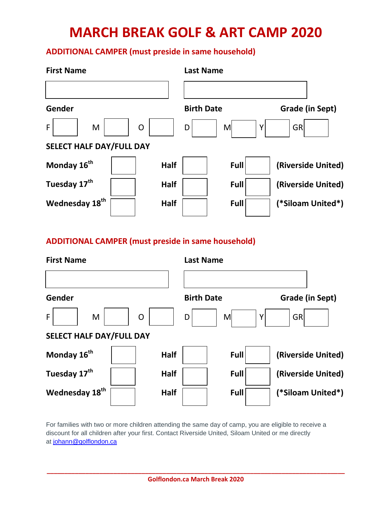# **ADDITIONAL CAMPER (must preside in same household)**

| <b>First Name</b>                         | <b>Last Name</b>  |                        |  |  |
|-------------------------------------------|-------------------|------------------------|--|--|
| Gender                                    | <b>Birth Date</b> | <b>Grade (in Sept)</b> |  |  |
| F<br>M<br>$\mathsf{O}$                    | M<br>D            | Y<br>GRI               |  |  |
| <b>SELECT HALF DAY/FULL DAY</b>           |                   |                        |  |  |
| Monday 16 <sup>th</sup><br><b>Half</b>    | Full              | (Riverside United)     |  |  |
| Tuesday 17 <sup>th</sup><br><b>Half</b>   | Full              | (Riverside United)     |  |  |
| Wednesday 18 <sup>th</sup><br><b>Half</b> | Full              | (*Siloam United*)      |  |  |

# **ADDITIONAL CAMPER (must preside in same household)**



For families with two or more children attending the same day of camp, you are eligible to receive a discount for all children after your first. Contact Riverside United, Siloam United or me directly at [johann@golflondon.ca](mailto:johann@golflondon.ca)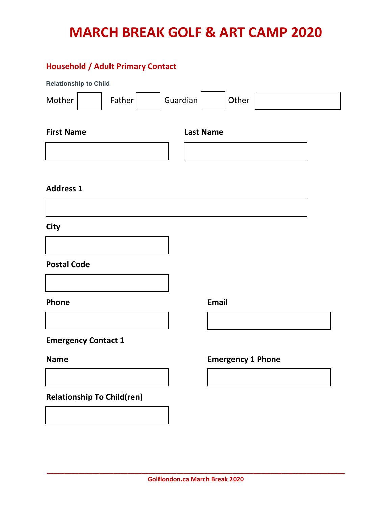## **Household / Adult Primary Contact**

| <b>Relationship to Child</b>          |                    |       |  |  |
|---------------------------------------|--------------------|-------|--|--|
| Mother                                | Guardian<br>Father | Other |  |  |
| <b>First Name</b><br><b>Last Name</b> |                    |       |  |  |
|                                       |                    |       |  |  |
|                                       |                    |       |  |  |

#### **Address 1**

**City**

## **Postal Code**



**Emergency Contact 1**

## **Relationship To Child(ren)**

**Name Emergency 1 Phone**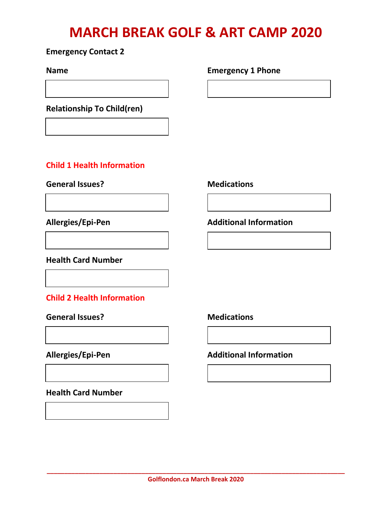### **Emergency Contact 2**

**Relationship To Child(ren)**

# **Child 1 Health Information**

General Issues? Medications

#### **Health Card Number**

# **Child 2 Health Information**

# General Issues? Medications

**Health Card Number**

### **Name Emergency 1 Phone**

## **Allergies/Epi-Pen Additional Information**

# **Allergies/Epi-Pen Additional Information**